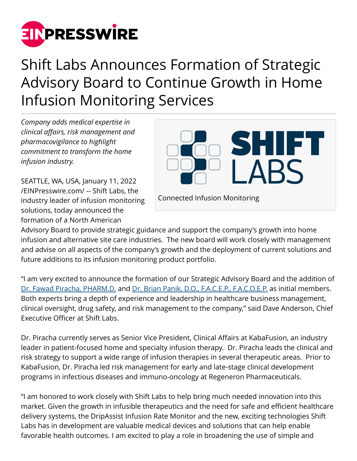

## Shift Labs Announces Formation of Strategic Advisory Board to Continue Growth in Home Infusion Monitoring Services

*Company adds medical expertise in clinical affairs, risk management and pharmacovigilance to highlight commitment to transform the home infusion industry.*

SEATTLE, WA, USA, January 11, 2022 [/EINPresswire.com/](http://www.einpresswire.com) -- Shift Labs, the industry leader of infusion monitoring solutions, today announced the formation of a North American



Advisory Board to provide strategic guidance and support the company's growth into home infusion and alternative site care industries. The new board will work closely with management and advise on all aspects of the company's growth and the deployment of current solutions and future additions to its infusion monitoring product portfolio.

"I am very excited to announce the formation of our Strategic Advisory Board and the addition of [Dr. Fawad Piracha, PHARM.D.](https://www.linkedin.com/in/fawad-piracha-3376a656/) and [Dr. Brian Panik, D.O., F.A.C.E.P., F.A.C.O.E.P.](https://www.linkedin.com/in/brianpanik/) as initial members. Both experts bring a depth of experience and leadership in healthcare business management, clinical oversight, drug safety, and risk management to the company," said Dave Anderson, Chief Executive Officer at Shift Labs.

Dr. Piracha currently serves as Senior Vice President, Clinical Affairs at KabaFusion, an industry leader in patient-focused home and specialty infusion therapy. Dr. Piracha leads the clinical and risk strategy to support a wide range of infusion therapies in several therapeutic areas. Prior to KabaFusion, Dr. Piracha led risk management for early and late-stage clinical development programs in infectious diseases and immuno-oncology at Regeneron Pharmaceuticals.

"I am honored to work closely with Shift Labs to help bring much needed innovation into this market. Given the growth in infusible therapeutics and the need for safe and efficient healthcare delivery systems, the DripAssist Infusion Rate Monitor and the new, exciting technologies Shift Labs has in development are valuable medical devices and solutions that can help enable favorable health outcomes. I am excited to play a role in broadening the use of simple and